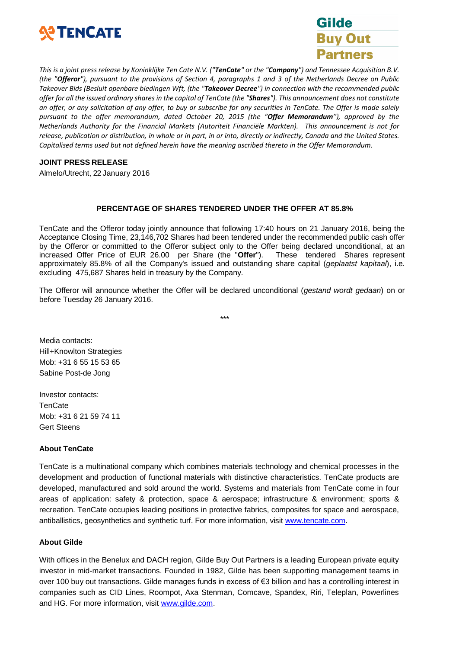



This is a joint press release by Koninklijke Ten Cate N.V. ("TenCate" or the "Company") and Tennessee Acquisition B.V. (the "Offeror"), pursuant to the provisions of Section 4, paragraphs 1 and 3 of the Netherlands Decree on Public *Takeover Bids (Besluit openbare biedingen Wft, (the "Takeover Decree") in connection with the recommended public* offer for all the issued ordinary shares in the capital of TenCate (the "Shares"). This announcement does not constitute an offer, or any solicitation of any offer, to buy or subscribe for any securities in TenCate. The Offer is made solely *pursuant to the offer memorandum, dated October 20, 2015 (the "Offer Memorandum"), approved by the Netherlands Authority for the Financial Markets (Autoriteit Financiële Markten). This announcement is not for* release, publication or distribution, in whole or in part, in or into, directly or indirectly, Canada and the United States. *Capitalised terms used but not defined herein have the meaning ascribed thereto in the Offer Memorandum.*

#### **JOINT PRESS RELEASE**

Almelo/Utrecht, 22 January 2016

#### **PERCENTAGE OF SHARES TENDERED UNDER THE OFFER AT 85.8%**

TenCate and the Offeror today jointly announce that following 17:40 hours on 21 January 2016, being the Acceptance Closing Time, 23,146,702 Shares had been tendered under the recommended public cash offer by the Offeror or committed to the Offeror subject only to the Offer being declared unconditional, at an increased Offer Price of EUR 26.00 per Share (the "**Offer**"). These tendered Shares represent approximately 85.8% of all the Company's issued and outstanding share capital (*geplaatst kapitaal*), i.e. excluding 475,687 Shares held in treasury by the Company.

The Offeror will announce whether the Offer will be declared unconditional (*gestand wordt gedaan*) on or before Tuesday 26 January 2016.

\*\*\*

Media contacts: Hill+Knowlton Strategies Mob: +31 6 55 15 53 65 Sabine Post-de Jong

Investor contacts: **TenCate** Mob: +31 6 21 59 74 11 Gert Steens

# **About TenCate**

TenCate is a multinational company which combines materials technology and chemical processes in the development and production of functional materials with distinctive characteristics. TenCate products are developed, manufactured and sold around the world. Systems and materials from TenCate come in four areas of application: safety & protection, space & aerospace; infrastructure & environment; sports & recreation. TenCate occupies leading positions in protective fabrics, composites for space and aerospace, antiballistics, geosynthetics and synthetic turf. For more information, visit [www.tencate.com.](http://www.tencate.com/)

#### **About Gilde**

With offices in the Benelux and DACH region, Gilde Buy Out Partners is a leading European private equity investor in mid-market transactions. Founded in 1982, Gilde has been supporting management teams in over 100 buy out transactions. Gilde manages funds in excess of €3 billion and has a controlling interest in companies such as CID Lines, Roompot, Axa Stenman, Comcave, Spandex, Riri, Teleplan, Powerlines and HG. For more information, visit [www.gilde.com.](http://www.gilde.com/)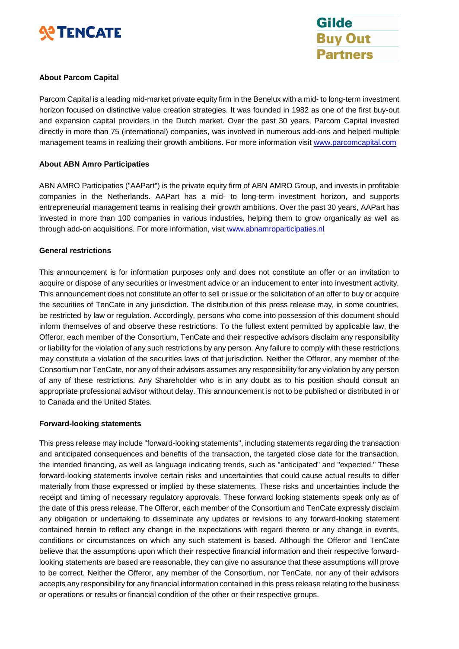



# **About Parcom Capital**

Parcom Capital is a leading mid-market private equity firm in the Benelux with a mid- to long-term investment horizon focused on distinctive value creation strategies. It was founded in 1982 as one of the first buy-out and expansion capital providers in the Dutch market. Over the past 30 years, Parcom Capital invested directly in more than 75 (international) companies, was involved in numerous add-ons and helped multiple management teams in realizing their growth ambitions. For more information visit [www.parcomcapital.com](http://www.parcomcapital.com/)

# **About ABN Amro Participaties**

ABN AMRO Participaties ("AAPart") is the private equity firm of ABN AMRO Group, and invests in profitable companies in the Netherlands. AAPart has a mid- to long-term investment horizon, and supports entrepreneurial management teams in realising their growth ambitions. Over the past 30 years, AAPart has invested in more than 100 companies in various industries, helping them to grow organically as well as through add-on acquisitions. For more information, visit [www.abnamroparticipaties.nl](http://www.abnamroparticipaties.nl/)

# **General restrictions**

This announcement is for information purposes only and does not constitute an offer or an invitation to acquire or dispose of any securities or investment advice or an inducement to enter into investment activity. This announcement does not constitute an offer to sell or issue or the solicitation of an offer to buy or acquire the securities of TenCate in any jurisdiction. The distribution of this press release may, in some countries, be restricted by law or regulation. Accordingly, persons who come into possession of this document should inform themselves of and observe these restrictions. To the fullest extent permitted by applicable law, the Offeror, each member of the Consortium, TenCate and their respective advisors disclaim any responsibility or liability for the violation of any such restrictions by any person. Any failure to comply with these restrictions may constitute a violation of the securities laws of that jurisdiction. Neither the Offeror, any member of the Consortium nor TenCate, nor any of their advisors assumes any responsibility for any violation by any person of any of these restrictions. Any Shareholder who is in any doubt as to his position should consult an appropriate professional advisor without delay. This announcement is not to be published or distributed in or to Canada and the United States.

# **Forward-looking statements**

This press release may include "forward-looking statements", including statements regarding the transaction and anticipated consequences and benefits of the transaction, the targeted close date for the transaction, the intended financing, as well as language indicating trends, such as "anticipated" and "expected." These forward-looking statements involve certain risks and uncertainties that could cause actual results to differ materially from those expressed or implied by these statements. These risks and uncertainties include the receipt and timing of necessary regulatory approvals. These forward looking statements speak only as of the date of this press release. The Offeror, each member of the Consortium and TenCate expressly disclaim any obligation or undertaking to disseminate any updates or revisions to any forward-looking statement contained herein to reflect any change in the expectations with regard thereto or any change in events, conditions or circumstances on which any such statement is based. Although the Offeror and TenCate believe that the assumptions upon which their respective financial information and their respective forwardlooking statements are based are reasonable, they can give no assurance that these assumptions will prove to be correct. Neither the Offeror, any member of the Consortium, nor TenCate, nor any of their advisors accepts any responsibility for any financial information contained in this press release relating to the business or operations or results or financial condition of the other or their respective groups.